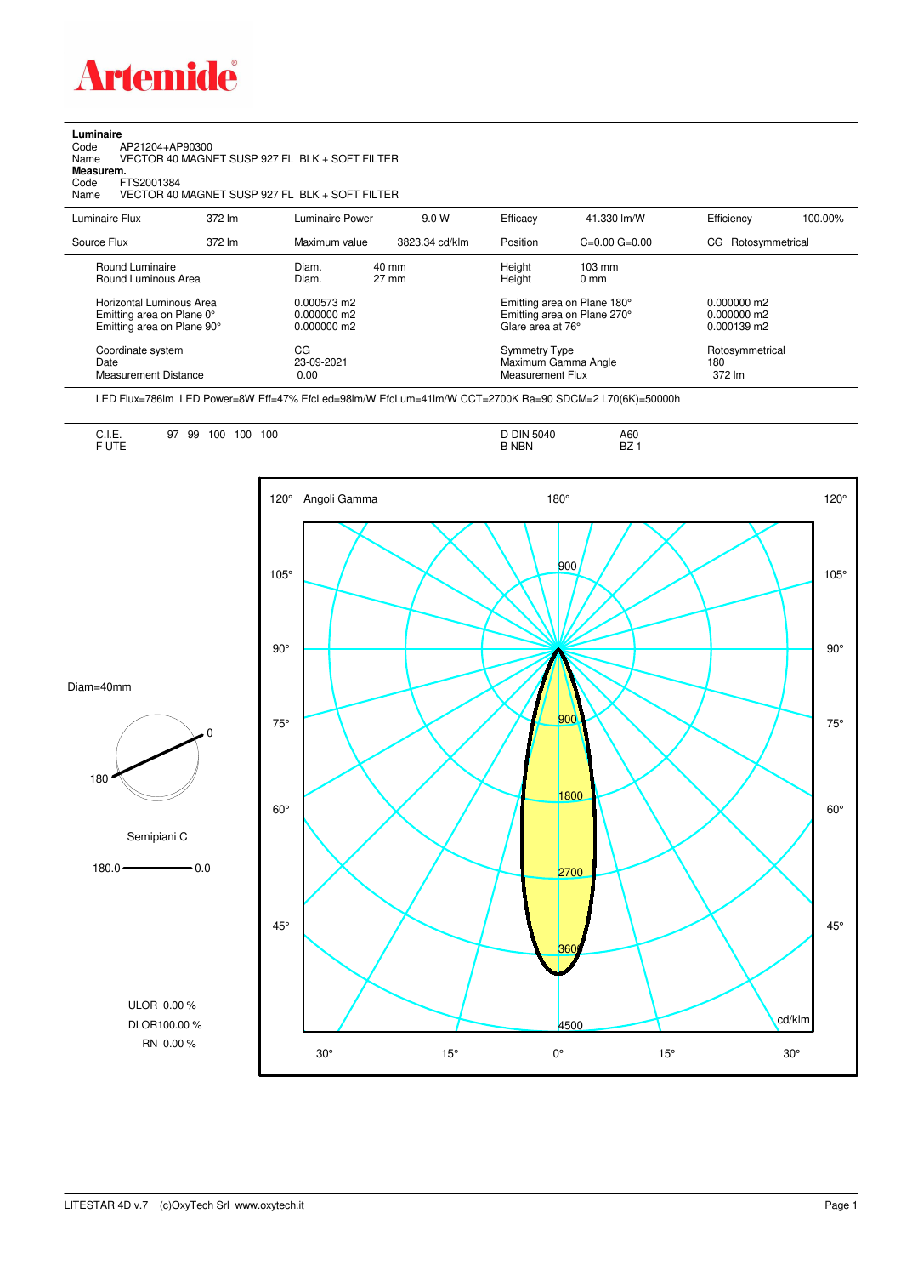

**Luminaire**

| AP21204+AP90300<br>Code<br>Name<br>Measurem.<br>FTS2001384<br>Code<br>Name          |        | VECTOR 40 MAGNET SUSP 927 FL BLK + SOFT FILTER<br>VECTOR 40 MAGNET SUSP 927 FL BLK + SOFT FILTER |                |                                                 |                                                            |                                             |         |
|-------------------------------------------------------------------------------------|--------|--------------------------------------------------------------------------------------------------|----------------|-------------------------------------------------|------------------------------------------------------------|---------------------------------------------|---------|
| Luminaire Flux                                                                      | 372 lm | Luminaire Power                                                                                  | 9.0 W          | Efficacy                                        | 41.330 lm/W                                                | Efficiency                                  | 100.00% |
| Source Flux                                                                         | 372 lm | Maximum value                                                                                    | 3823.34 cd/klm | Position                                        | $C = 0.00$ $G = 0.00$                                      | CG Rotosymmetrical                          |         |
| Round Luminaire<br>Round Luminous Area                                              |        | 40 mm<br>Diam.<br>$27 \text{ mm}$<br>Diam.                                                       |                | Height<br>Height                                | $103 \text{ mm}$<br>0 <sub>mm</sub>                        |                                             |         |
| Horizontal Luminous Area<br>Emitting area on Plane 0°<br>Emitting area on Plane 90° |        | 0.000573 m2<br>0.000000 m2<br>0.000000 m2                                                        |                | Glare area at 76°                               | Emitting area on Plane 180°<br>Emitting area on Plane 270° | $0.000000$ m2<br>0.000000 m2<br>0.000139 m2 |         |
| Coordinate system<br>Date<br><b>Measurement Distance</b>                            |        | CG<br>23-09-2021<br>0.00                                                                         |                | <b>Symmetry Type</b><br><b>Measurement Flux</b> | Maximum Gamma Angle                                        | Rotosymmetrical<br>180<br>372 lm            |         |

LED Flux=786lm LED Power=8W Eff=47% EfcLed=98lm/W EfcLum=41lm/W CCT=2700K Ra=90 SDCM=2 L70(6K)=50000h